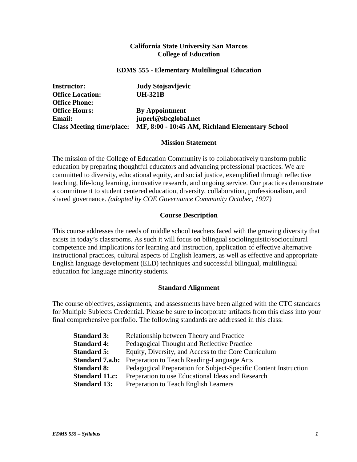### **California State University San Marcos College of Education**

#### **EDMS 555 - Elementary Multilingual Education**

| <b>Instructor:</b>               | <b>Judy Stojsavljevic</b>                       |
|----------------------------------|-------------------------------------------------|
| <b>Office Location:</b>          | <b>UH-321B</b>                                  |
| <b>Office Phone:</b>             |                                                 |
| <b>Office Hours:</b>             | <b>By Appointment</b>                           |
| <b>Email:</b>                    | juperl@sbcglobal.net                            |
| <b>Class Meeting time/place:</b> | MF, 8:00 - 10:45 AM, Richland Elementary School |

#### **Mission Statement**

The mission of the College of Education Community is to collaboratively transform public education by preparing thoughtful educators and advancing professional practices. We are committed to diversity, educational equity, and social justice, exemplified through reflective teaching, life-long learning, innovative research, and ongoing service. Our practices demonstrate a commitment to student centered education, diversity, collaboration, professionalism, and shared governance. *(adopted by COE Governance Community October, 1997)*

# **Course Description**

This course addresses the needs of middle school teachers faced with the growing diversity that exists in today's classrooms. As such it will focus on bilingual sociolinguistic/sociocultural competence and implications for learning and instruction, application of effective alternative instructional practices, cultural aspects of English learners, as well as effective and appropriate English language development (ELD) techniques and successful bilingual, multilingual education for language minority students.

### **Standard Alignment**

The course objectives, assignments, and assessments have been aligned with the CTC standards for Multiple Subjects Credential. Please be sure to incorporate artifacts from this class into your final comprehensive portfolio. The following standards are addressed in this class:

| <b>Standard 3:</b>     | Relationship between Theory and Practice                         |
|------------------------|------------------------------------------------------------------|
| <b>Standard 4:</b>     | Pedagogical Thought and Reflective Practice                      |
| <b>Standard 5:</b>     | Equity, Diversity, and Access to the Core Curriculum             |
| <b>Standard 7.a.b:</b> | Preparation to Teach Reading-Language Arts                       |
| <b>Standard 8:</b>     | Pedagogical Preparation for Subject-Specific Content Instruction |
| <b>Standard 11.c:</b>  | Preparation to use Educational Ideas and Research                |
| <b>Standard 13:</b>    | Preparation to Teach English Learners                            |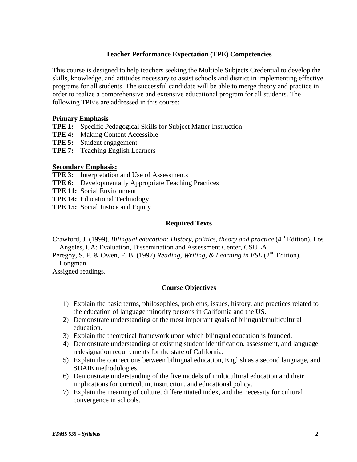# **Teacher Performance Expectation (TPE) Competencies**

This course is designed to help teachers seeking the Multiple Subjects Credential to develop the skills, knowledge, and attitudes necessary to assist schools and district in implementing effective programs for all students. The successful candidate will be able to merge theory and practice in order to realize a comprehensive and extensive educational program for all students. The following TPE's are addressed in this course:

### **Primary Emphasis**

- **TPE 1:** Specific Pedagogical Skills for Subject Matter Instruction
- **TPE 4:** Making Content Accessible
- **TPE 5:** Student engagement
- **TPE 7:** Teaching English Learners

### **Secondary Emphasis:**

- **TPE 3:** Interpretation and Use of Assessments
- **TPE 6:** Developmentally Appropriate Teaching Practices
- **TPE 11:** Social Environment
- **TPE 14:** Educational Technology
- **TPE 15:** Social Justice and Equity

# **Required Texts**

Crawford, J. (1999). *Bilingual education: History, politics, theory and practice* (4<sup>th</sup> Edition). Los Angeles, CA: Evaluation, Dissemination and Assessment Center, CSULA

Peregoy, S. F. & Owen, F. B. (1997) *Reading, Writing, & Learning in ESL* (2<sup>nd</sup> Edition). Longman.

Assigned readings.

### **Course Objectives**

- 1) Explain the basic terms, philosophies, problems, issues, history, and practices related to the education of language minority persons in California and the US.
- 2) Demonstrate understanding of the most important goals of bilingual/multicultural education.
- 3) Explain the theoretical framework upon which bilingual education is founded.
- 4) Demonstrate understanding of existing student identification, assessment, and language redesignation requirements for the state of California.
- 5) Explain the connections between bilingual education, English as a second language, and SDAIE methodologies.
- 6) Demonstrate understanding of the five models of multicultural education and their implications for curriculum, instruction, and educational policy.
- 7) Explain the meaning of culture, differentiated index, and the necessity for cultural convergence in schools.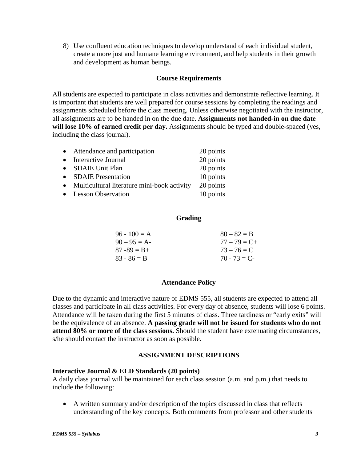8) Use confluent education techniques to develop understand of each individual student, create a more just and humane learning environment, and help students in their growth and development as human beings.

### **Course Requirements**

All students are expected to participate in class activities and demonstrate reflective learning. It is important that students are well prepared for course sessions by completing the readings and assignments scheduled before the class meeting. Unless otherwise negotiated with the instructor, all assignments are to be handed in on the due date. **Assignments not handed-in on due date will lose 10% of earned credit per day.** Assignments should be typed and double-spaced (yes, including the class journal).

| 20 points |
|-----------|
| 20 points |
| 20 points |
| 10 points |
| 20 points |
| 10 points |
|           |

#### **Grading**

| $96 - 100 = A$  | $80 - 82 = B$   |
|-----------------|-----------------|
| $90 - 95 = A$   | $77 - 79 = C +$ |
| $87 - 89 = B +$ | $73 - 76 = C$   |
| $83 - 86 = B$   | $70 - 73 = C$   |
|                 |                 |

### **Attendance Policy**

Due to the dynamic and interactive nature of EDMS 555, all students are expected to attend all classes and participate in all class activities. For every day of absence, students will lose 6 points. Attendance will be taken during the first 5 minutes of class. Three tardiness or "early exits" will be the equivalence of an absence. **A passing grade will not be issued for students who do not attend 80% or more of the class sessions.** Should the student have extenuating circumstances, s/he should contact the instructor as soon as possible.

#### **ASSIGNMENT DESCRIPTIONS**

#### **Interactive Journal & ELD Standards (20 points)**

A daily class journal will be maintained for each class session (a.m. and p.m.) that needs to include the following:

• A written summary and/or description of the topics discussed in class that reflects understanding of the key concepts. Both comments from professor and other students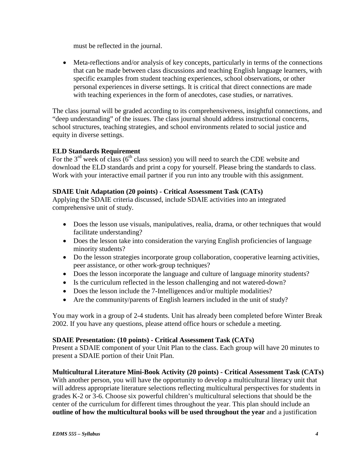must be reflected in the journal.

• Meta-reflections and/or analysis of key concepts, particularly in terms of the connections that can be made between class discussions and teaching English language learners, with specific examples from student teaching experiences, school observations, or other personal experiences in diverse settings. It is critical that direct connections are made with teaching experiences in the form of anecdotes, case studies, or narratives.

The class journal will be graded according to its comprehensiveness, insightful connections, and "deep understanding" of the issues. The class journal should address instructional concerns, school structures, teaching strategies, and school environments related to social justice and equity in diverse settings.

# **ELD Standards Requirement**

For the  $3<sup>rd</sup>$  week of class (6<sup>th</sup> class session) you will need to search the CDE website and download the ELD standards and print a copy for yourself. Please bring the standards to class. Work with your interactive email partner if you run into any trouble with this assignment.

# **SDAIE Unit Adaptation (20 points) - Critical Assessment Task (CATs)**

Applying the SDAIE criteria discussed, include SDAIE activities into an integrated comprehensive unit of study.

- Does the lesson use visuals, manipulatives, realia, drama, or other techniques that would facilitate understanding?
- Does the lesson take into consideration the varying English proficiencies of language minority students?
- Do the lesson strategies incorporate group collaboration, cooperative learning activities, peer assistance, or other work-group techniques?
- Does the lesson incorporate the language and culture of language minority students?
- Is the curriculum reflected in the lesson challenging and not watered-down?
- Does the lesson include the 7-Intelligences and/or multiple modalities?
- Are the community/parents of English learners included in the unit of study?

You may work in a group of 2-4 students. Unit has already been completed before Winter Break 2002. If you have any questions, please attend office hours or schedule a meeting.

# **SDAIE Presentation: (10 points) - Critical Assessment Task (CATs)**

Present a SDAIE component of your Unit Plan to the class. Each group will have 20 minutes to present a SDAIE portion of their Unit Plan.

# **Multicultural Literature Mini-Book Activity (20 points) - Critical Assessment Task (CATs)**

With another person, you will have the opportunity to develop a multicultural literacy unit that will address appropriate literature selections reflecting multicultural perspectives for students in grades K-2 or 3-6. Choose six powerful children's multicultural selections that should be the center of the curriculum for different times throughout the year. This plan should include an **outline of how the multicultural books will be used throughout the year** and a justification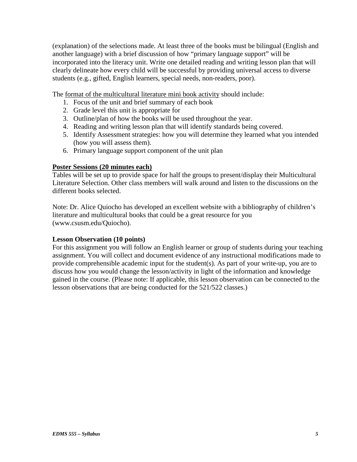(explanation) of the selections made. At least three of the books must be bilingual (English and another language) with a brief discussion of how "primary language support" will be incorporated into the literacy unit. Write one detailed reading and writing lesson plan that will clearly delineate how every child will be successful by providing universal access to diverse students (e.g., gifted, English learners, special needs, non-readers, poor).

The format of the multicultural literature mini book activity should include:

- 1. Focus of the unit and brief summary of each book
- 2. Grade level this unit is appropriate for
- 3. Outline/plan of how the books will be used throughout the year.
- 4. Reading and writing lesson plan that will identify standards being covered.
- 5. Identify Assessment strategies: how you will determine they learned what you intended (how you will assess them).
- 6. Primary language support component of the unit plan

### **Poster Sessions (20 minutes each)**

Tables will be set up to provide space for half the groups to present/display their Multicultural Literature Selection. Other class members will walk around and listen to the discussions on the different books selected.

Note: Dr. Alice Quiocho has developed an excellent website with a bibliography of children's literature and multicultural books that could be a great resource for you (www.csusm.edu/Quiocho).

### **Lesson Observation (10 points)**

For this assignment you will follow an English learner or group of students during your teaching assignment. You will collect and document evidence of any instructional modifications made to provide comprehensible academic input for the student(s). As part of your write-up, you are to discuss how you would change the lesson/activity in light of the information and knowledge gained in the course. (Please note: If applicable, this lesson observation can be connected to the lesson observations that are being conducted for the 521/522 classes.)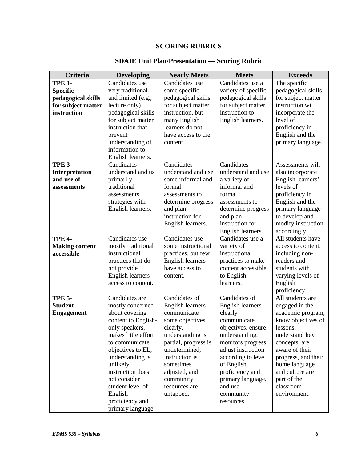# **SCORING RUBRICS**

| <b>Criteria</b>       | <b>Developing</b>                   | <b>Nearly Meets</b>                       | <b>Meets</b>                | <b>Exceeds</b>                   |
|-----------------------|-------------------------------------|-------------------------------------------|-----------------------------|----------------------------------|
| <b>TPE 1-</b>         | Candidates use                      | Candidates use                            | Candidates use a            | The specific                     |
| <b>Specific</b>       | very traditional                    | some specific                             | variety of specific         | pedagogical skills               |
| pedagogical skills    | and limited (e.g.,                  | pedagogical skills                        | pedagogical skills          | for subject matter               |
| for subject matter    | lecture only)                       | for subject matter                        | for subject matter          | instruction will                 |
| instruction           | pedagogical skills                  | instruction, but                          | instruction to              | incorporate the                  |
|                       | for subject matter                  | many English                              | English learners.           | level of                         |
|                       | instruction that                    | learners do not                           |                             | proficiency in                   |
|                       | prevent                             | have access to the                        |                             | English and the                  |
|                       | understanding of                    | content.                                  |                             | primary language.                |
|                       | information to                      |                                           |                             |                                  |
|                       | English learners.                   |                                           |                             |                                  |
| <b>TPE 3-</b>         | Candidates                          | Candidates                                | Candidates                  | Assessments will                 |
| Interpretation        | understand and us                   | understand and use                        | understand and use          | also incorporate                 |
| and use of            | primarily                           | some informal and                         | a variety of                | English learners'                |
| assessments           | traditional                         | formal                                    | informal and                | levels of                        |
|                       | assessments                         | assessments to                            | formal                      | proficiency in                   |
|                       | strategies with                     | determine progress                        | assessments to              | English and the                  |
|                       | English learners.                   | and plan                                  | determine progress          | primary language                 |
|                       |                                     | instruction for                           | and plan                    | to develop and                   |
|                       |                                     | English learners.                         | instruction for             | modify instruction               |
|                       |                                     |                                           | English learners.           | accordingly.                     |
| <b>TPE 4-</b>         | Candidates use                      | Candidates use                            | Candidates use a            | All students have                |
| <b>Making content</b> |                                     | some instructional                        |                             |                                  |
| accessible            | mostly traditional<br>instructional |                                           | variety of<br>instructional | access to content,               |
|                       |                                     | practices, but few                        |                             | including non-<br>readers and    |
|                       | practices that do                   | <b>English learners</b><br>have access to | practices to make           | students with                    |
|                       | not provide                         |                                           | content accessible          |                                  |
|                       | <b>English learners</b>             | content.                                  | to English<br>learners.     | varying levels of                |
|                       | access to content.                  |                                           |                             | English                          |
| <b>TPE 5-</b>         | Candidates are                      | Candidates of                             | Candidates of               | proficiency.<br>All students are |
|                       |                                     |                                           |                             |                                  |
| <b>Student</b>        | mostly concerned                    | English learners                          | English learners            | engaged in the                   |
| <b>Engagement</b>     | about covering                      | communicate                               | clearly                     | academic program,                |
|                       | content to English-                 | some objectives                           | communicate                 | know objectives of               |
|                       | only speakers,                      | clearly,                                  | objectives, ensure          | lessons,                         |
|                       | makes little effort                 | understanding is                          | understanding,              | understand key                   |
|                       | to communicate                      | partial, progress is                      | monitors progress,          | concepts, are                    |
|                       | objectives to EL,                   | undetermined,                             | adjust instruction          | aware of their                   |
|                       | understanding is                    | instruction is                            | according to level          | progress, and their              |
|                       | unlikely,                           | sometimes                                 | of English                  | home language                    |
|                       | instruction does                    | adjusted, and                             | proficiency and             | and culture are                  |
|                       | not consider                        | community                                 | primary language,           | part of the                      |
|                       | student level of                    | resources are                             | and use                     | classroom                        |
|                       | English                             | untapped.                                 | community                   | environment.                     |
|                       | proficiency and                     |                                           | resources.                  |                                  |
|                       | primary language.                   |                                           |                             |                                  |

# **SDAIE Unit Plan/Presentation — Scoring Rubric**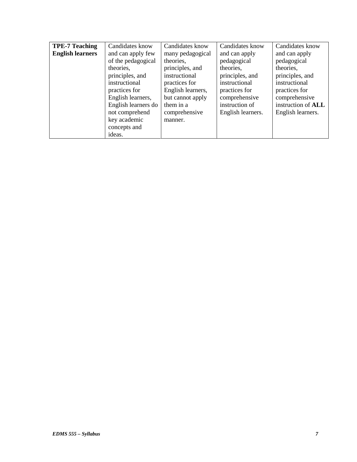| <b>TPE-7 Teaching</b>   | Candidates know     | Candidates know   | Candidates know   | Candidates know    |
|-------------------------|---------------------|-------------------|-------------------|--------------------|
| <b>English learners</b> | and can apply few   | many pedagogical  | and can apply     | and can apply      |
|                         | of the pedagogical  | theories,         | pedagogical       | pedagogical        |
|                         | theories,           | principles, and   | theories,         | theories,          |
|                         | principles, and     | instructional     | principles, and   | principles, and    |
|                         | instructional       | practices for     | instructional     | instructional      |
|                         | practices for       | English learners, | practices for     | practices for      |
|                         | English learners,   | but cannot apply  | comprehensive     | comprehensive      |
|                         | English learners do | them in a         | instruction of    | instruction of ALL |
|                         | not comprehend      | comprehensive     | English learners. | English learners.  |
|                         | key academic        | manner.           |                   |                    |
|                         | concepts and        |                   |                   |                    |
|                         | ideas.              |                   |                   |                    |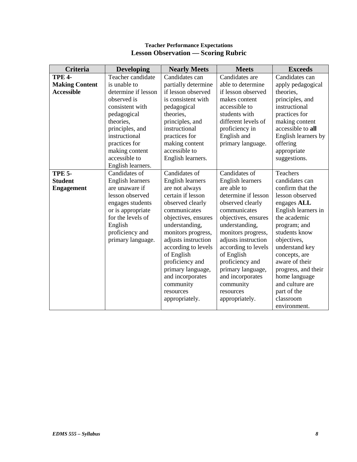| <b>Criteria</b>       | <b>Developing</b>   | <b>Nearly Meets</b>     | <b>Meets</b>            | <b>Exceeds</b>      |
|-----------------------|---------------------|-------------------------|-------------------------|---------------------|
| <b>TPE 4-</b>         | Teacher candidate   | Candidates can          | Candidates are          | Candidates can      |
| <b>Making Content</b> | is unable to        | partially determine     | able to determine       | apply pedagogical   |
| <b>Accessible</b>     | determine if lesson | if lesson observed      | if lesson observed      | theories,           |
|                       | observed is         | is consistent with      | makes content           | principles, and     |
|                       | consistent with     | pedagogical             | accessible to           | instructional       |
|                       | pedagogical         | theories,               | students with           | practices for       |
|                       | theories.           | principles, and         | different levels of     | making content      |
|                       | principles, and     | instructional           | proficiency in          | accessible to all   |
|                       | instructional       | practices for           | English and             | English learners by |
|                       | practices for       | making content          | primary language.       | offering            |
|                       | making content      | accessible to           |                         | appropriate         |
|                       | accessible to       | English learners.       |                         | suggestions.        |
|                       | English learners.   |                         |                         |                     |
| <b>TPE 5-</b>         | Candidates of       | Candidates of           | Candidates of           | Teachers            |
| <b>Student</b>        | English learners    | <b>English learners</b> | <b>English learners</b> | candidates can      |
| <b>Engagement</b>     | are unaware if      | are not always          | are able to             | confirm that the    |
|                       | lesson observed     | certain if lesson       | determine if lesson     | lesson observed     |
|                       | engages students    | observed clearly        | observed clearly        | engages ALL         |
|                       | or is appropriate   | communicates            | communicates            | English learners in |
|                       | for the levels of   | objectives, ensures     | objectives, ensures     | the academic        |
|                       | English             | understanding,          | understanding,          | program; and        |
|                       | proficiency and     | monitors progress,      | monitors progress,      | students know       |
|                       | primary language.   | adjusts instruction     | adjusts instruction     | objectives,         |
|                       |                     | according to levels     | according to levels     | understand key      |
|                       |                     | of English              | of English              | concepts, are       |
|                       |                     | proficiency and         | proficiency and         | aware of their      |
|                       |                     | primary language,       | primary language,       | progress, and their |
|                       |                     | and incorporates        | and incorporates        | home language       |
|                       |                     | community               | community               | and culture are     |
|                       |                     | resources               | resources               | part of the         |
|                       |                     | appropriately.          | appropriately.          | classroom           |
|                       |                     |                         |                         | environment.        |

#### **Teacher Performance Expectations Lesson Observation — Scoring Rubric**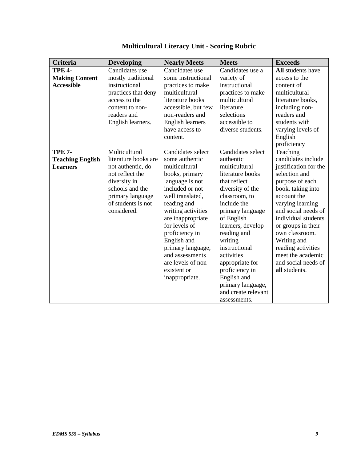| Criteria                | <b>Developing</b>    | <b>Nearly Meets</b>     | <b>Meets</b>        | <b>Exceeds</b>        |
|-------------------------|----------------------|-------------------------|---------------------|-----------------------|
| <b>TPE 4-</b>           | Candidates use       | Candidates use          | Candidates use a    | All students have     |
| <b>Making Content</b>   | mostly traditional   | some instructional      | variety of          | access to the         |
| <b>Accessible</b>       | instructional        | practices to make       | instructional       | content of            |
|                         | practices that deny  | multicultural           | practices to make   | multicultural         |
|                         | access to the        | literature books        | multicultural       | literature books,     |
|                         | content to non-      | accessible, but few     | literature          | including non-        |
|                         | readers and          | non-readers and         | selections          | readers and           |
|                         | English learners.    | <b>English learners</b> | accessible to       | students with         |
|                         |                      | have access to          | diverse students.   | varying levels of     |
|                         |                      | content.                |                     | English               |
|                         |                      |                         |                     | proficiency           |
| <b>TPE 7-</b>           | Multicultural        | Candidates select       | Candidates select   | Teaching              |
| <b>Teaching English</b> | literature books are | some authentic          | authentic           | candidates include    |
| <b>Learners</b>         | not authentic, do    | multicultural           | multicultural       | justification for the |
|                         | not reflect the      | books, primary          | literature books    | selection and         |
|                         | diversity in         | language is not         | that reflect        | purpose of each       |
|                         | schools and the      | included or not         | diversity of the    | book, taking into     |
|                         | primary language     | well translated,        | classroom, to       | account the           |
|                         | of students is not   | reading and             | include the         | varying learning      |
|                         | considered.          | writing activities      | primary language    | and social needs of   |
|                         |                      | are inappropriate       | of English          | individual students   |
|                         |                      | for levels of           | learners, develop   | or groups in their    |
|                         |                      | proficiency in          | reading and         | own classroom.        |
|                         |                      | English and             | writing             | Writing and           |
|                         |                      | primary language,       | instructional       | reading activities    |
|                         |                      | and assessments         | activities          | meet the academic     |
|                         |                      | are levels of non-      | appropriate for     | and social needs of   |
|                         |                      | existent or             | proficiency in      | all students.         |
|                         |                      | inappropriate.          | English and         |                       |
|                         |                      |                         | primary language,   |                       |
|                         |                      |                         | and create relevant |                       |
|                         |                      |                         | assessments.        |                       |

# **Multicultural Literacy Unit - Scoring Rubric**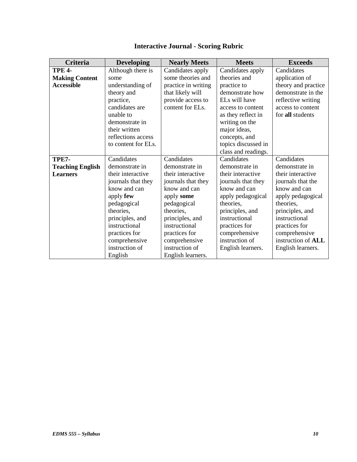| Criteria                | <b>Developing</b>   | <b>Nearly Meets</b> | <b>Meets</b>        | <b>Exceeds</b>      |
|-------------------------|---------------------|---------------------|---------------------|---------------------|
| <b>TPE 4-</b>           | Although there is   | Candidates apply    | Candidates apply    | Candidates          |
| <b>Making Content</b>   | some                | some theories and   | theories and        | application of      |
| <b>Accessible</b>       | understanding of    | practice in writing | practice to         | theory and practice |
|                         | theory and          | that likely will    | demonstrate how     | demonstrate in the  |
|                         | practice,           | provide access to   | ELs will have       | reflective writing  |
|                         | candidates are      | content for ELs.    | access to content   | access to content   |
|                         | unable to           |                     | as they reflect in  | for all students    |
|                         | demonstrate in      |                     | writing on the      |                     |
|                         | their written       |                     | major ideas,        |                     |
|                         | reflections access  |                     | concepts, and       |                     |
|                         | to content for ELs. |                     | topics discussed in |                     |
|                         |                     |                     | class and readings. |                     |
| <b>TPE7-</b>            | Candidates          | Candidates          | Candidates          | Candidates          |
| <b>Teaching English</b> | demonstrate in      | demonstrate in      | demonstrate in      | demonstrate in      |
| <b>Learners</b>         | their interactive   | their interactive   | their interactive   | their interactive   |
|                         | journals that they  | journals that they  | journals that they  | journals that the   |
|                         | know and can        | know and can        | know and can        | know and can        |
|                         | apply few           | apply some          | apply pedagogical   | apply pedagogical   |
|                         | pedagogical         | pedagogical         | theories.           | theories,           |
|                         | theories,           | theories,           | principles, and     | principles, and     |
|                         | principles, and     | principles, and     | instructional       | instructional       |
|                         | instructional       | instructional       | practices for       | practices for       |
|                         | practices for       | practices for       | comprehensive       | comprehensive       |
|                         | comprehensive       | comprehensive       | instruction of      | instruction of ALL  |
|                         | instruction of      | instruction of      | English learners.   | English learners.   |
|                         | English             | English learners.   |                     |                     |

# **Interactive Journal - Scoring Rubric**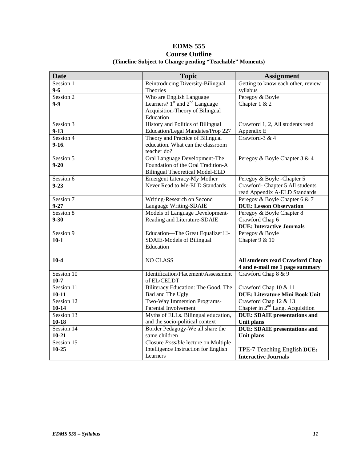# **EDMS 555 Course Outline (Timeline Subject to Change pending "Teachable" Moments)**

| <b>Date</b>  | <b>Topic</b>                                | <b>Assignment</b>                     |
|--------------|---------------------------------------------|---------------------------------------|
| Session 1    | Reintroducing Diversity-Bilingual           | Getting to know each other, review    |
| $9 - 6$      | Theories                                    | syllabus                              |
| Session 2    | Who are English Language                    | Peregoy & Boyle                       |
| $9-9$        | Learners? $1st$ and $2nd$ Language          | Chapter $1 & 2$                       |
|              | Acquisition-Theory of Bilingual             |                                       |
|              | Education                                   |                                       |
| Session 3    | History and Politics of Bilingual           | Crawford 1, 2, All students read      |
| $9-13$       | Education/Legal Mandates/Prop 227           | Appendix E                            |
| Session 4    | Theory and Practice of Bilingual            | Crawford-3 & 4                        |
| $9-16.$      | education. What can the classroom           |                                       |
|              | teacher do?                                 |                                       |
| Session 5    | Oral Language Development-The               | Peregoy & Boyle Chapter 3 & 4         |
| $9 - 20$     | Foundation of the Oral Tradition-A          |                                       |
|              | <b>Bilingual Theoretical Model-ELD</b>      |                                       |
| Session 6    | <b>Emergent Literacy-My Mother</b>          | Peregoy & Boyle -Chapter 5            |
| $9 - 23$     | Never Read to Me-ELD Standards              | Crawford- Chapter 5 All students      |
|              |                                             | read Appendix A-ELD Standards         |
| Session 7    | Writing-Research on Second                  | Peregoy & Boyle Chapter 6 & 7         |
| $9 - 27$     | Language Writing-SDAIE                      | <b>DUE: Lesson Observation</b>        |
| Session 8    | Models of Language Development-             | Peregoy & Boyle Chapter 8             |
| $9 - 30$     | Reading and Literature-SDAIE                | Crawford Chap 6                       |
|              |                                             | <b>DUE: Interactive Journals</b>      |
| Session 9    | Education-The Great Equalizer!!!-           | Peregoy & Boyle                       |
| $10 - 1$     | SDAIE-Models of Bilingual                   | Chapter 9 & 10                        |
|              | Education                                   |                                       |
|              |                                             |                                       |
| $10-4$       | <b>NO CLASS</b>                             | All students read Crawford Chap       |
|              |                                             | 4 and e-mail me 1 page summary        |
| Session 10   | Identification/Placement/Assessment         | Crawford Chap 8 & 9                   |
| $10-7$       | of EL/CELDT                                 |                                       |
| Session 11   | Biliteracy Education: The Good, The         | Crawford Chap 10 & 11                 |
| $10 - 11$    | Bad and The Ugly                            | <b>DUE: Literature Mini Book Unit</b> |
| Session 12   | Two-Way Immersion Programs-                 | Crawford Chap 12 & 13                 |
| $10 - 14$    | Parental Involvement                        | Chapter in $2nd$ Lang. Acquisition    |
| Session 13   | Myths of ELLs. Bilingual education,         | <b>DUE: SDAIE</b> presentations and   |
| $10 - 18$    | and the socio-political context             | Unit plans                            |
| Session $14$ | Border Pedagogy-We all share the            | <b>DUE: SDAIE presentations and</b>   |
| $10 - 21$    | same children                               | Unit plans                            |
| Session 15   | Closure <b>Possible</b> lecture on Multiple |                                       |
| $10 - 25$    | Intelligence Instruction for English        | TPE-7 Teaching English DUE:           |
|              | Learners                                    | <b>Interactive Journals</b>           |